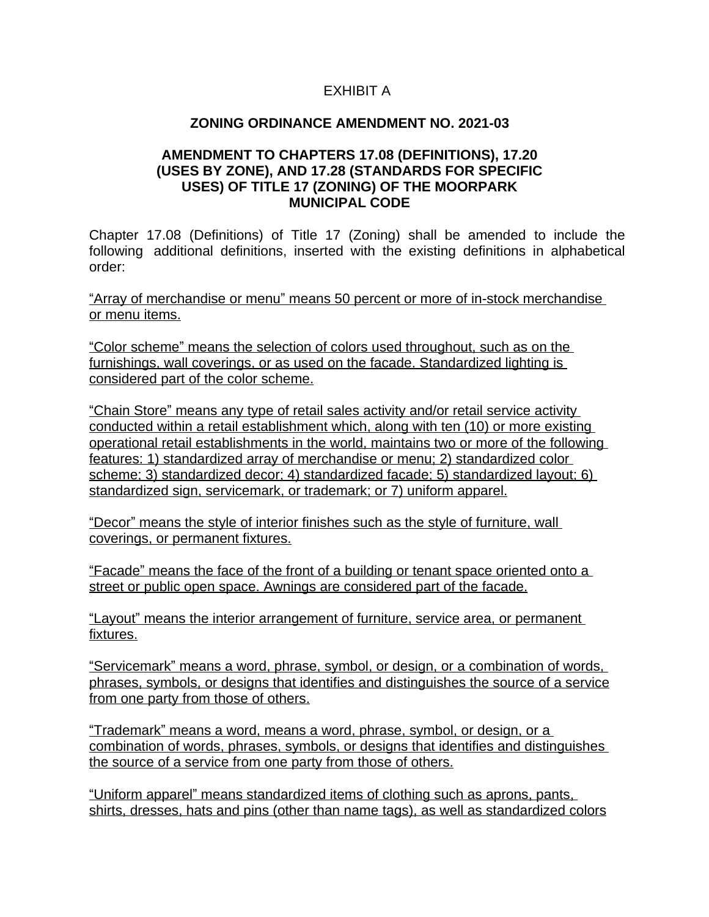# EXHIBIT A

### **ZONING ORDINANCE AMENDMENT NO. 2021-03**

### **AMENDMENT TO CHAPTERS 17.08 (DEFINITIONS), 17.20 (USES BY ZONE), AND 17.28 (STANDARDS FOR SPECIFIC USES) OF TITLE 17 (ZONING) OF THE MOORPARK MUNICIPAL CODE**

Chapter 17.08 (Definitions) of Title 17 (Zoning) shall be amended to include the following additional definitions, inserted with the existing definitions in alphabetical order:

"Array of merchandise or menu" means 50 percent or more of in-stock merchandise or menu items.

"Color scheme" means the selection of colors used throughout, such as on the furnishings, wall coverings, or as used on the facade. Standardized lighting is considered part of the color scheme.

"Chain Store" means any type of retail sales activity and/or retail service activity conducted within a retail establishment which, along with ten (10) or more existing operational retail establishments in the world, maintains two or more of the following features: 1) standardized array of merchandise or menu; 2) standardized color scheme; 3) standardized decor; 4) standardized facade; 5) standardized layout; 6) standardized sign, servicemark, or trademark; or 7) uniform apparel.

"Decor" means the style of interior finishes such as the style of furniture, wall coverings, or permanent fixtures.

"Facade" means the face of the front of a building or tenant space oriented onto a street or public open space. Awnings are considered part of the facade.

"Layout" means the interior arrangement of furniture, service area, or permanent fixtures.

"Servicemark" means a word, phrase, symbol, or design, or a combination of words, phrases, symbols, or designs that identifies and distinguishes the source of a service from one party from those of others.

"Trademark" means a word, means a word, phrase, symbol, or design, or a combination of words, phrases, symbols, or designs that identifies and distinguishes the source of a service from one party from those of others.

"Uniform apparel" means standardized items of clothing such as aprons, pants, shirts, dresses, hats and pins (other than name tags), as well as standardized colors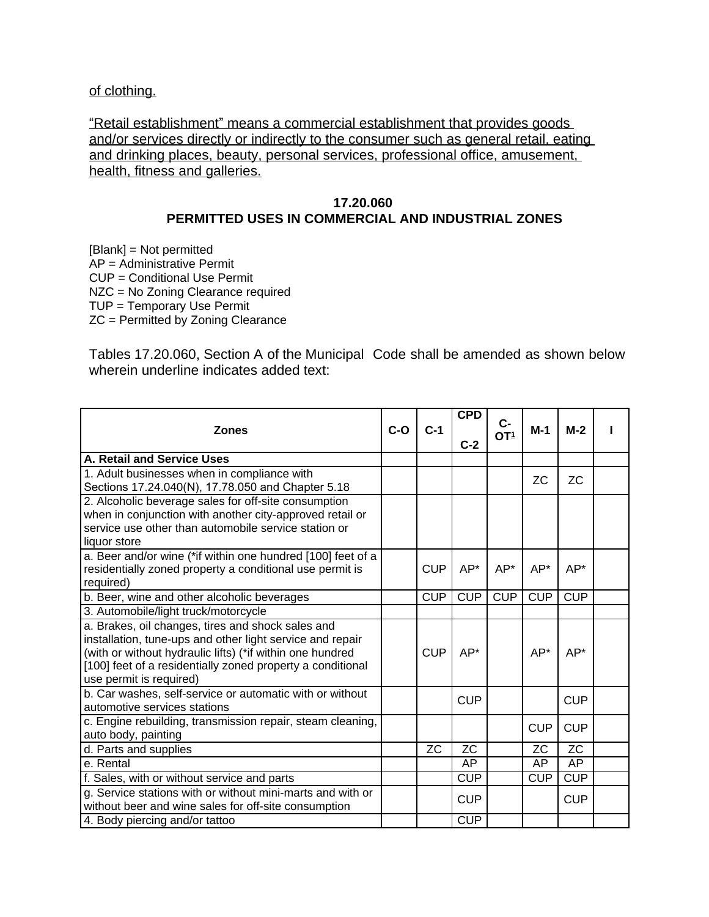of clothing.

"Retail establishment" means a commercial establishment that provides goods and/or services directly or indirectly to the consumer such as general retail, eating and drinking places, beauty, personal services, professional office, amusement, health, fitness and galleries.

### **17.20.060**

## **PERMITTED USES IN COMMERCIAL AND INDUSTRIAL ZONES**

[Blank] = Not permitted AP = Administrative Permit CUP = Conditional Use Permit NZC = No Zoning Clearance required TUP = Temporary Use Permit ZC = Permitted by Zoning Clearance

Tables 17.20.060, Section A of the Municipal Code shall be amended as shown below wherein underline indicates added text:

| <b>Zones</b>                                                | $C-O$ | $C-1$      | <b>CPD</b> | $C-$<br>OT <sup>1</sup> | $M-1$      | $M-2$      |  |
|-------------------------------------------------------------|-------|------------|------------|-------------------------|------------|------------|--|
|                                                             |       |            | $C-2$      |                         |            |            |  |
| A. Retail and Service Uses                                  |       |            |            |                         |            |            |  |
| 1. Adult businesses when in compliance with                 |       |            |            |                         | <b>ZC</b>  | <b>ZC</b>  |  |
| Sections 17.24.040(N), 17.78.050 and Chapter 5.18           |       |            |            |                         |            |            |  |
| 2. Alcoholic beverage sales for off-site consumption        |       |            |            |                         |            |            |  |
| when in conjunction with another city-approved retail or    |       |            |            |                         |            |            |  |
| service use other than automobile service station or        |       |            |            |                         |            |            |  |
| liquor store                                                |       |            |            |                         |            |            |  |
| a. Beer and/or wine (*if within one hundred [100] feet of a |       |            |            |                         |            |            |  |
| residentially zoned property a conditional use permit is    |       | <b>CUP</b> | $AP*$      | $AP*$                   | $AP*$      | $AP*$      |  |
| required)                                                   |       |            |            |                         |            |            |  |
| b. Beer, wine and other alcoholic beverages                 |       | <b>CUP</b> | <b>CUP</b> | <b>CUP</b>              | <b>CUP</b> | CUP        |  |
| 3. Automobile/light truck/motorcycle                        |       |            |            |                         |            |            |  |
| a. Brakes, oil changes, tires and shock sales and           |       |            |            |                         |            |            |  |
| installation, tune-ups and other light service and repair   |       |            |            |                         |            |            |  |
| (with or without hydraulic lifts) (*if within one hundred   |       | <b>CUP</b> | AP*        |                         | AP*        | AP*        |  |
| [100] feet of a residentially zoned property a conditional  |       |            |            |                         |            |            |  |
| use permit is required)                                     |       |            |            |                         |            |            |  |
| b. Car washes, self-service or automatic with or without    |       |            | <b>CUP</b> |                         |            | <b>CUP</b> |  |
| automotive services stations                                |       |            |            |                         |            |            |  |
| c. Engine rebuilding, transmission repair, steam cleaning,  |       |            |            |                         | <b>CUP</b> | <b>CUP</b> |  |
| auto body, painting                                         |       |            |            |                         |            |            |  |
| d. Parts and supplies                                       |       | <b>ZC</b>  | <b>ZC</b>  |                         | <b>ZC</b>  | <b>ZC</b>  |  |
| e. Rental                                                   |       |            | AP         |                         | AP         | AP         |  |
| f. Sales, with or without service and parts                 |       |            | <b>CUP</b> |                         | <b>CUP</b> | <b>CUP</b> |  |
| g. Service stations with or without mini-marts and with or  |       |            | <b>CUP</b> |                         |            | <b>CUP</b> |  |
| without beer and wine sales for off-site consumption        |       |            |            |                         |            |            |  |
| 4. Body piercing and/or tattoo                              |       |            | <b>CUP</b> |                         |            |            |  |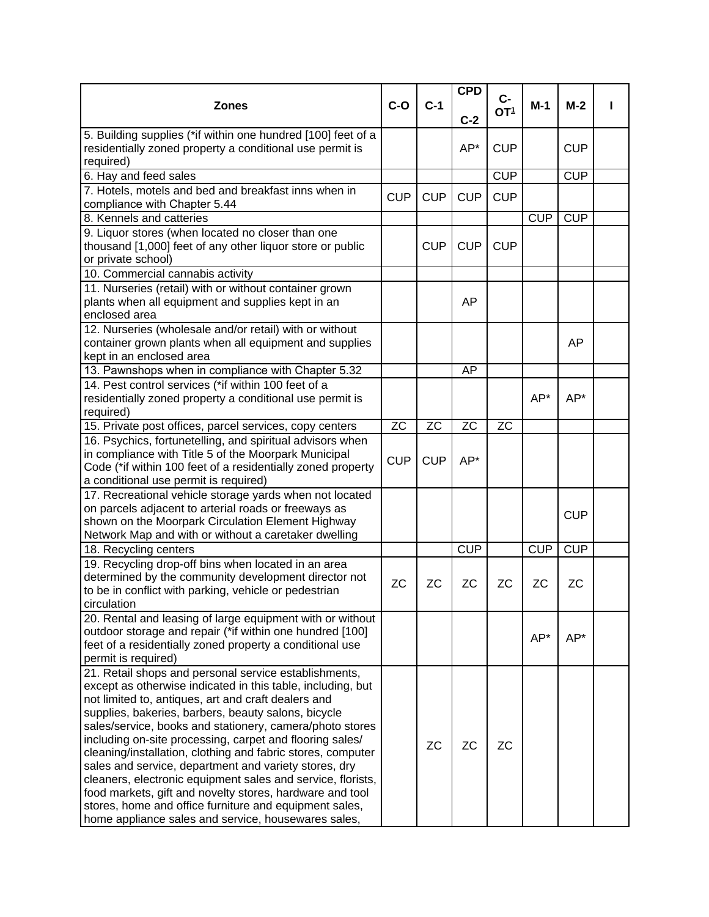|                                                                                                                                                                                                                                                                                                                                                                                                                                                                                    |            |            | <b>CPD</b> |                          |            |            |  |
|------------------------------------------------------------------------------------------------------------------------------------------------------------------------------------------------------------------------------------------------------------------------------------------------------------------------------------------------------------------------------------------------------------------------------------------------------------------------------------|------------|------------|------------|--------------------------|------------|------------|--|
| <b>Zones</b>                                                                                                                                                                                                                                                                                                                                                                                                                                                                       | $C-O$      | $C-1$      | $C-2$      | $C -$<br>OT <sup>1</sup> | M-1        | $M-2$      |  |
| 5. Building supplies (*if within one hundred [100] feet of a<br>residentially zoned property a conditional use permit is<br>required)                                                                                                                                                                                                                                                                                                                                              |            |            | AP*        | <b>CUP</b>               |            | <b>CUP</b> |  |
| 6. Hay and feed sales                                                                                                                                                                                                                                                                                                                                                                                                                                                              |            |            |            | <b>CUP</b>               |            | CUP        |  |
| 7. Hotels, motels and bed and breakfast inns when in                                                                                                                                                                                                                                                                                                                                                                                                                               |            |            |            |                          |            |            |  |
| compliance with Chapter 5.44                                                                                                                                                                                                                                                                                                                                                                                                                                                       | <b>CUP</b> | <b>CUP</b> | <b>CUP</b> | <b>CUP</b>               |            |            |  |
| 8. Kennels and catteries                                                                                                                                                                                                                                                                                                                                                                                                                                                           |            |            |            |                          | <b>CUP</b> | CUP        |  |
| 9. Liquor stores (when located no closer than one<br>thousand [1,000] feet of any other liquor store or public<br>or private school)                                                                                                                                                                                                                                                                                                                                               |            | <b>CUP</b> | <b>CUP</b> | <b>CUP</b>               |            |            |  |
| 10. Commercial cannabis activity                                                                                                                                                                                                                                                                                                                                                                                                                                                   |            |            |            |                          |            |            |  |
| 11. Nurseries (retail) with or without container grown<br>plants when all equipment and supplies kept in an<br>enclosed area                                                                                                                                                                                                                                                                                                                                                       |            |            | AP         |                          |            |            |  |
| 12. Nurseries (wholesale and/or retail) with or without                                                                                                                                                                                                                                                                                                                                                                                                                            |            |            |            |                          |            |            |  |
| container grown plants when all equipment and supplies<br>kept in an enclosed area                                                                                                                                                                                                                                                                                                                                                                                                 |            |            |            |                          |            | AP         |  |
| 13. Pawnshops when in compliance with Chapter 5.32                                                                                                                                                                                                                                                                                                                                                                                                                                 |            |            | AP         |                          |            |            |  |
| 14. Pest control services (*if within 100 feet of a                                                                                                                                                                                                                                                                                                                                                                                                                                |            |            |            |                          |            |            |  |
| residentially zoned property a conditional use permit is<br>required)                                                                                                                                                                                                                                                                                                                                                                                                              |            |            |            |                          | $AP*$      | AP*        |  |
| 15. Private post offices, parcel services, copy centers                                                                                                                                                                                                                                                                                                                                                                                                                            | <b>ZC</b>  | <b>ZC</b>  | <b>ZC</b>  | <b>ZC</b>                |            |            |  |
| 16. Psychics, fortunetelling, and spiritual advisors when                                                                                                                                                                                                                                                                                                                                                                                                                          |            |            |            |                          |            |            |  |
| in compliance with Title 5 of the Moorpark Municipal<br>Code (*if within 100 feet of a residentially zoned property                                                                                                                                                                                                                                                                                                                                                                | <b>CUP</b> | <b>CUP</b> | AP*        |                          |            |            |  |
| a conditional use permit is required)                                                                                                                                                                                                                                                                                                                                                                                                                                              |            |            |            |                          |            |            |  |
| 17. Recreational vehicle storage yards when not located                                                                                                                                                                                                                                                                                                                                                                                                                            |            |            |            |                          |            |            |  |
| on parcels adjacent to arterial roads or freeways as                                                                                                                                                                                                                                                                                                                                                                                                                               |            |            |            |                          |            | <b>CUP</b> |  |
| shown on the Moorpark Circulation Element Highway                                                                                                                                                                                                                                                                                                                                                                                                                                  |            |            |            |                          |            |            |  |
| Network Map and with or without a caretaker dwelling                                                                                                                                                                                                                                                                                                                                                                                                                               |            |            |            |                          |            |            |  |
| 18. Recycling centers                                                                                                                                                                                                                                                                                                                                                                                                                                                              |            |            | <b>CUP</b> |                          | <b>CUP</b> | <b>CUP</b> |  |
| 19. Recycling drop-off bins when located in an area<br>determined by the community development director not<br>to be in conflict with parking, vehicle or pedestrian<br>circulation                                                                                                                                                                                                                                                                                                | <b>ZC</b>  | <b>ZC</b>  | <b>ZC</b>  | <b>ZC</b>                | <b>ZC</b>  | <b>ZC</b>  |  |
| 20. Rental and leasing of large equipment with or without<br>outdoor storage and repair (*if within one hundred [100]<br>feet of a residentially zoned property a conditional use<br>permit is required)                                                                                                                                                                                                                                                                           |            |            |            |                          | AP*        | AP*        |  |
| 21. Retail shops and personal service establishments,<br>except as otherwise indicated in this table, including, but<br>not limited to, antiques, art and craft dealers and<br>supplies, bakeries, barbers, beauty salons, bicycle<br>sales/service, books and stationery, camera/photo stores<br>including on-site processing, carpet and flooring sales/<br>cleaning/installation, clothing and fabric stores, computer<br>sales and service, department and variety stores, dry |            | <b>ZC</b>  | <b>ZC</b>  | <b>ZC</b>                |            |            |  |
| cleaners, electronic equipment sales and service, florists,<br>food markets, gift and novelty stores, hardware and tool<br>stores, home and office furniture and equipment sales,<br>home appliance sales and service, housewares sales,                                                                                                                                                                                                                                           |            |            |            |                          |            |            |  |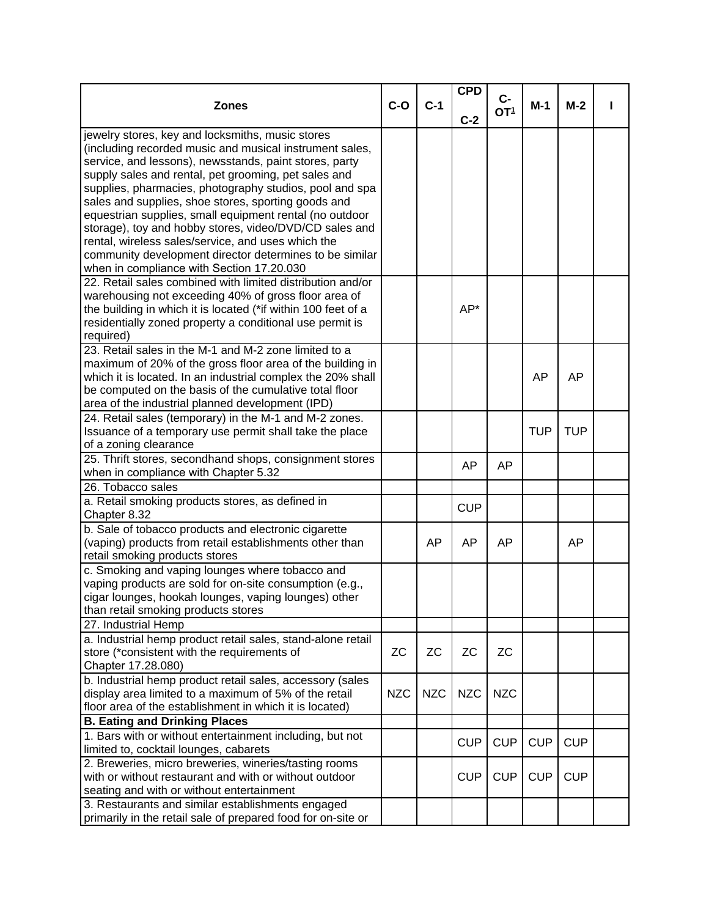| $c-$<br>$C-1$<br>$C-O$<br><b>Zones</b><br>$M-1$<br>$M-2$<br>OT <sup>1</sup><br>$C-2$<br>jewelry stores, key and locksmiths, music stores<br>(including recorded music and musical instrument sales,<br>service, and lessons), newsstands, paint stores, party<br>supply sales and rental, pet grooming, pet sales and<br>supplies, pharmacies, photography studios, pool and spa<br>sales and supplies, shoe stores, sporting goods and<br>equestrian supplies, small equipment rental (no outdoor<br>storage), toy and hobby stores, video/DVD/CD sales and<br>rental, wireless sales/service, and uses which the<br>community development director determines to be similar<br>when in compliance with Section 17.20.030<br>22. Retail sales combined with limited distribution and/or<br>warehousing not exceeding 40% of gross floor area of<br>AP*<br>the building in which it is located (*if within 100 feet of a<br>residentially zoned property a conditional use permit is<br>required)<br>23. Retail sales in the M-1 and M-2 zone limited to a<br>maximum of 20% of the gross floor area of the building in<br>which it is located. In an industrial complex the 20% shall<br><b>AP</b><br>AP<br>be computed on the basis of the cumulative total floor<br>area of the industrial planned development (IPD)<br>24. Retail sales (temporary) in the M-1 and M-2 zones.<br>Issuance of a temporary use permit shall take the place<br><b>TUP</b><br><b>TUP</b><br>of a zoning clearance<br>25. Thrift stores, secondhand shops, consignment stores<br>AP<br>AP<br>when in compliance with Chapter 5.32<br>26. Tobacco sales<br>a. Retail smoking products stores, as defined in<br><b>CUP</b><br>Chapter 8.32<br>b. Sale of tobacco products and electronic cigarette<br>(vaping) products from retail establishments other than<br><b>AP</b><br>AP<br>AP<br>AP<br>retail smoking products stores<br>c. Smoking and vaping lounges where tobacco and<br>vaping products are sold for on-site consumption (e.g.,<br>cigar lounges, hookah lounges, vaping lounges) other<br>than retail smoking products stores<br>27. Industrial Hemp<br>a. Industrial hemp product retail sales, stand-alone retail<br><b>ZC</b><br>ZC<br><b>ZC</b><br><b>ZC</b><br>store (*consistent with the requirements of<br>Chapter 17.28.080)<br>b. Industrial hemp product retail sales, accessory (sales<br>display area limited to a maximum of 5% of the retail<br><b>NZC</b><br><b>NZC</b><br><b>NZC</b><br><b>NZC</b><br>floor area of the establishment in which it is located)<br><b>B. Eating and Drinking Places</b><br>1. Bars with or without entertainment including, but not<br><b>CUP</b><br><b>CUP</b><br><b>CUP</b><br><b>CUP</b><br>limited to, cocktail lounges, cabarets |  | <b>CPD</b> |  |  |
|---------------------------------------------------------------------------------------------------------------------------------------------------------------------------------------------------------------------------------------------------------------------------------------------------------------------------------------------------------------------------------------------------------------------------------------------------------------------------------------------------------------------------------------------------------------------------------------------------------------------------------------------------------------------------------------------------------------------------------------------------------------------------------------------------------------------------------------------------------------------------------------------------------------------------------------------------------------------------------------------------------------------------------------------------------------------------------------------------------------------------------------------------------------------------------------------------------------------------------------------------------------------------------------------------------------------------------------------------------------------------------------------------------------------------------------------------------------------------------------------------------------------------------------------------------------------------------------------------------------------------------------------------------------------------------------------------------------------------------------------------------------------------------------------------------------------------------------------------------------------------------------------------------------------------------------------------------------------------------------------------------------------------------------------------------------------------------------------------------------------------------------------------------------------------------------------------------------------------------------------------------------------------------------------------------------------------------------------------------------------------------------------------------------------------------------------------------------------------------------------------------------------------------------------------------------------------------------------------------------------------------------------------------------------------------------------------------------------------------------------------------------------------------|--|------------|--|--|
|                                                                                                                                                                                                                                                                                                                                                                                                                                                                                                                                                                                                                                                                                                                                                                                                                                                                                                                                                                                                                                                                                                                                                                                                                                                                                                                                                                                                                                                                                                                                                                                                                                                                                                                                                                                                                                                                                                                                                                                                                                                                                                                                                                                                                                                                                                                                                                                                                                                                                                                                                                                                                                                                                                                                                                                 |  |            |  |  |
|                                                                                                                                                                                                                                                                                                                                                                                                                                                                                                                                                                                                                                                                                                                                                                                                                                                                                                                                                                                                                                                                                                                                                                                                                                                                                                                                                                                                                                                                                                                                                                                                                                                                                                                                                                                                                                                                                                                                                                                                                                                                                                                                                                                                                                                                                                                                                                                                                                                                                                                                                                                                                                                                                                                                                                                 |  |            |  |  |
|                                                                                                                                                                                                                                                                                                                                                                                                                                                                                                                                                                                                                                                                                                                                                                                                                                                                                                                                                                                                                                                                                                                                                                                                                                                                                                                                                                                                                                                                                                                                                                                                                                                                                                                                                                                                                                                                                                                                                                                                                                                                                                                                                                                                                                                                                                                                                                                                                                                                                                                                                                                                                                                                                                                                                                                 |  |            |  |  |
|                                                                                                                                                                                                                                                                                                                                                                                                                                                                                                                                                                                                                                                                                                                                                                                                                                                                                                                                                                                                                                                                                                                                                                                                                                                                                                                                                                                                                                                                                                                                                                                                                                                                                                                                                                                                                                                                                                                                                                                                                                                                                                                                                                                                                                                                                                                                                                                                                                                                                                                                                                                                                                                                                                                                                                                 |  |            |  |  |
|                                                                                                                                                                                                                                                                                                                                                                                                                                                                                                                                                                                                                                                                                                                                                                                                                                                                                                                                                                                                                                                                                                                                                                                                                                                                                                                                                                                                                                                                                                                                                                                                                                                                                                                                                                                                                                                                                                                                                                                                                                                                                                                                                                                                                                                                                                                                                                                                                                                                                                                                                                                                                                                                                                                                                                                 |  |            |  |  |
|                                                                                                                                                                                                                                                                                                                                                                                                                                                                                                                                                                                                                                                                                                                                                                                                                                                                                                                                                                                                                                                                                                                                                                                                                                                                                                                                                                                                                                                                                                                                                                                                                                                                                                                                                                                                                                                                                                                                                                                                                                                                                                                                                                                                                                                                                                                                                                                                                                                                                                                                                                                                                                                                                                                                                                                 |  |            |  |  |
|                                                                                                                                                                                                                                                                                                                                                                                                                                                                                                                                                                                                                                                                                                                                                                                                                                                                                                                                                                                                                                                                                                                                                                                                                                                                                                                                                                                                                                                                                                                                                                                                                                                                                                                                                                                                                                                                                                                                                                                                                                                                                                                                                                                                                                                                                                                                                                                                                                                                                                                                                                                                                                                                                                                                                                                 |  |            |  |  |
|                                                                                                                                                                                                                                                                                                                                                                                                                                                                                                                                                                                                                                                                                                                                                                                                                                                                                                                                                                                                                                                                                                                                                                                                                                                                                                                                                                                                                                                                                                                                                                                                                                                                                                                                                                                                                                                                                                                                                                                                                                                                                                                                                                                                                                                                                                                                                                                                                                                                                                                                                                                                                                                                                                                                                                                 |  |            |  |  |
|                                                                                                                                                                                                                                                                                                                                                                                                                                                                                                                                                                                                                                                                                                                                                                                                                                                                                                                                                                                                                                                                                                                                                                                                                                                                                                                                                                                                                                                                                                                                                                                                                                                                                                                                                                                                                                                                                                                                                                                                                                                                                                                                                                                                                                                                                                                                                                                                                                                                                                                                                                                                                                                                                                                                                                                 |  |            |  |  |
|                                                                                                                                                                                                                                                                                                                                                                                                                                                                                                                                                                                                                                                                                                                                                                                                                                                                                                                                                                                                                                                                                                                                                                                                                                                                                                                                                                                                                                                                                                                                                                                                                                                                                                                                                                                                                                                                                                                                                                                                                                                                                                                                                                                                                                                                                                                                                                                                                                                                                                                                                                                                                                                                                                                                                                                 |  |            |  |  |
|                                                                                                                                                                                                                                                                                                                                                                                                                                                                                                                                                                                                                                                                                                                                                                                                                                                                                                                                                                                                                                                                                                                                                                                                                                                                                                                                                                                                                                                                                                                                                                                                                                                                                                                                                                                                                                                                                                                                                                                                                                                                                                                                                                                                                                                                                                                                                                                                                                                                                                                                                                                                                                                                                                                                                                                 |  |            |  |  |
|                                                                                                                                                                                                                                                                                                                                                                                                                                                                                                                                                                                                                                                                                                                                                                                                                                                                                                                                                                                                                                                                                                                                                                                                                                                                                                                                                                                                                                                                                                                                                                                                                                                                                                                                                                                                                                                                                                                                                                                                                                                                                                                                                                                                                                                                                                                                                                                                                                                                                                                                                                                                                                                                                                                                                                                 |  |            |  |  |
|                                                                                                                                                                                                                                                                                                                                                                                                                                                                                                                                                                                                                                                                                                                                                                                                                                                                                                                                                                                                                                                                                                                                                                                                                                                                                                                                                                                                                                                                                                                                                                                                                                                                                                                                                                                                                                                                                                                                                                                                                                                                                                                                                                                                                                                                                                                                                                                                                                                                                                                                                                                                                                                                                                                                                                                 |  |            |  |  |
|                                                                                                                                                                                                                                                                                                                                                                                                                                                                                                                                                                                                                                                                                                                                                                                                                                                                                                                                                                                                                                                                                                                                                                                                                                                                                                                                                                                                                                                                                                                                                                                                                                                                                                                                                                                                                                                                                                                                                                                                                                                                                                                                                                                                                                                                                                                                                                                                                                                                                                                                                                                                                                                                                                                                                                                 |  |            |  |  |
|                                                                                                                                                                                                                                                                                                                                                                                                                                                                                                                                                                                                                                                                                                                                                                                                                                                                                                                                                                                                                                                                                                                                                                                                                                                                                                                                                                                                                                                                                                                                                                                                                                                                                                                                                                                                                                                                                                                                                                                                                                                                                                                                                                                                                                                                                                                                                                                                                                                                                                                                                                                                                                                                                                                                                                                 |  |            |  |  |
|                                                                                                                                                                                                                                                                                                                                                                                                                                                                                                                                                                                                                                                                                                                                                                                                                                                                                                                                                                                                                                                                                                                                                                                                                                                                                                                                                                                                                                                                                                                                                                                                                                                                                                                                                                                                                                                                                                                                                                                                                                                                                                                                                                                                                                                                                                                                                                                                                                                                                                                                                                                                                                                                                                                                                                                 |  |            |  |  |
|                                                                                                                                                                                                                                                                                                                                                                                                                                                                                                                                                                                                                                                                                                                                                                                                                                                                                                                                                                                                                                                                                                                                                                                                                                                                                                                                                                                                                                                                                                                                                                                                                                                                                                                                                                                                                                                                                                                                                                                                                                                                                                                                                                                                                                                                                                                                                                                                                                                                                                                                                                                                                                                                                                                                                                                 |  |            |  |  |
|                                                                                                                                                                                                                                                                                                                                                                                                                                                                                                                                                                                                                                                                                                                                                                                                                                                                                                                                                                                                                                                                                                                                                                                                                                                                                                                                                                                                                                                                                                                                                                                                                                                                                                                                                                                                                                                                                                                                                                                                                                                                                                                                                                                                                                                                                                                                                                                                                                                                                                                                                                                                                                                                                                                                                                                 |  |            |  |  |
|                                                                                                                                                                                                                                                                                                                                                                                                                                                                                                                                                                                                                                                                                                                                                                                                                                                                                                                                                                                                                                                                                                                                                                                                                                                                                                                                                                                                                                                                                                                                                                                                                                                                                                                                                                                                                                                                                                                                                                                                                                                                                                                                                                                                                                                                                                                                                                                                                                                                                                                                                                                                                                                                                                                                                                                 |  |            |  |  |
|                                                                                                                                                                                                                                                                                                                                                                                                                                                                                                                                                                                                                                                                                                                                                                                                                                                                                                                                                                                                                                                                                                                                                                                                                                                                                                                                                                                                                                                                                                                                                                                                                                                                                                                                                                                                                                                                                                                                                                                                                                                                                                                                                                                                                                                                                                                                                                                                                                                                                                                                                                                                                                                                                                                                                                                 |  |            |  |  |
|                                                                                                                                                                                                                                                                                                                                                                                                                                                                                                                                                                                                                                                                                                                                                                                                                                                                                                                                                                                                                                                                                                                                                                                                                                                                                                                                                                                                                                                                                                                                                                                                                                                                                                                                                                                                                                                                                                                                                                                                                                                                                                                                                                                                                                                                                                                                                                                                                                                                                                                                                                                                                                                                                                                                                                                 |  |            |  |  |
|                                                                                                                                                                                                                                                                                                                                                                                                                                                                                                                                                                                                                                                                                                                                                                                                                                                                                                                                                                                                                                                                                                                                                                                                                                                                                                                                                                                                                                                                                                                                                                                                                                                                                                                                                                                                                                                                                                                                                                                                                                                                                                                                                                                                                                                                                                                                                                                                                                                                                                                                                                                                                                                                                                                                                                                 |  |            |  |  |
|                                                                                                                                                                                                                                                                                                                                                                                                                                                                                                                                                                                                                                                                                                                                                                                                                                                                                                                                                                                                                                                                                                                                                                                                                                                                                                                                                                                                                                                                                                                                                                                                                                                                                                                                                                                                                                                                                                                                                                                                                                                                                                                                                                                                                                                                                                                                                                                                                                                                                                                                                                                                                                                                                                                                                                                 |  |            |  |  |
|                                                                                                                                                                                                                                                                                                                                                                                                                                                                                                                                                                                                                                                                                                                                                                                                                                                                                                                                                                                                                                                                                                                                                                                                                                                                                                                                                                                                                                                                                                                                                                                                                                                                                                                                                                                                                                                                                                                                                                                                                                                                                                                                                                                                                                                                                                                                                                                                                                                                                                                                                                                                                                                                                                                                                                                 |  |            |  |  |
|                                                                                                                                                                                                                                                                                                                                                                                                                                                                                                                                                                                                                                                                                                                                                                                                                                                                                                                                                                                                                                                                                                                                                                                                                                                                                                                                                                                                                                                                                                                                                                                                                                                                                                                                                                                                                                                                                                                                                                                                                                                                                                                                                                                                                                                                                                                                                                                                                                                                                                                                                                                                                                                                                                                                                                                 |  |            |  |  |
|                                                                                                                                                                                                                                                                                                                                                                                                                                                                                                                                                                                                                                                                                                                                                                                                                                                                                                                                                                                                                                                                                                                                                                                                                                                                                                                                                                                                                                                                                                                                                                                                                                                                                                                                                                                                                                                                                                                                                                                                                                                                                                                                                                                                                                                                                                                                                                                                                                                                                                                                                                                                                                                                                                                                                                                 |  |            |  |  |
|                                                                                                                                                                                                                                                                                                                                                                                                                                                                                                                                                                                                                                                                                                                                                                                                                                                                                                                                                                                                                                                                                                                                                                                                                                                                                                                                                                                                                                                                                                                                                                                                                                                                                                                                                                                                                                                                                                                                                                                                                                                                                                                                                                                                                                                                                                                                                                                                                                                                                                                                                                                                                                                                                                                                                                                 |  |            |  |  |
|                                                                                                                                                                                                                                                                                                                                                                                                                                                                                                                                                                                                                                                                                                                                                                                                                                                                                                                                                                                                                                                                                                                                                                                                                                                                                                                                                                                                                                                                                                                                                                                                                                                                                                                                                                                                                                                                                                                                                                                                                                                                                                                                                                                                                                                                                                                                                                                                                                                                                                                                                                                                                                                                                                                                                                                 |  |            |  |  |
|                                                                                                                                                                                                                                                                                                                                                                                                                                                                                                                                                                                                                                                                                                                                                                                                                                                                                                                                                                                                                                                                                                                                                                                                                                                                                                                                                                                                                                                                                                                                                                                                                                                                                                                                                                                                                                                                                                                                                                                                                                                                                                                                                                                                                                                                                                                                                                                                                                                                                                                                                                                                                                                                                                                                                                                 |  |            |  |  |
|                                                                                                                                                                                                                                                                                                                                                                                                                                                                                                                                                                                                                                                                                                                                                                                                                                                                                                                                                                                                                                                                                                                                                                                                                                                                                                                                                                                                                                                                                                                                                                                                                                                                                                                                                                                                                                                                                                                                                                                                                                                                                                                                                                                                                                                                                                                                                                                                                                                                                                                                                                                                                                                                                                                                                                                 |  |            |  |  |
|                                                                                                                                                                                                                                                                                                                                                                                                                                                                                                                                                                                                                                                                                                                                                                                                                                                                                                                                                                                                                                                                                                                                                                                                                                                                                                                                                                                                                                                                                                                                                                                                                                                                                                                                                                                                                                                                                                                                                                                                                                                                                                                                                                                                                                                                                                                                                                                                                                                                                                                                                                                                                                                                                                                                                                                 |  |            |  |  |
|                                                                                                                                                                                                                                                                                                                                                                                                                                                                                                                                                                                                                                                                                                                                                                                                                                                                                                                                                                                                                                                                                                                                                                                                                                                                                                                                                                                                                                                                                                                                                                                                                                                                                                                                                                                                                                                                                                                                                                                                                                                                                                                                                                                                                                                                                                                                                                                                                                                                                                                                                                                                                                                                                                                                                                                 |  |            |  |  |
|                                                                                                                                                                                                                                                                                                                                                                                                                                                                                                                                                                                                                                                                                                                                                                                                                                                                                                                                                                                                                                                                                                                                                                                                                                                                                                                                                                                                                                                                                                                                                                                                                                                                                                                                                                                                                                                                                                                                                                                                                                                                                                                                                                                                                                                                                                                                                                                                                                                                                                                                                                                                                                                                                                                                                                                 |  |            |  |  |
|                                                                                                                                                                                                                                                                                                                                                                                                                                                                                                                                                                                                                                                                                                                                                                                                                                                                                                                                                                                                                                                                                                                                                                                                                                                                                                                                                                                                                                                                                                                                                                                                                                                                                                                                                                                                                                                                                                                                                                                                                                                                                                                                                                                                                                                                                                                                                                                                                                                                                                                                                                                                                                                                                                                                                                                 |  |            |  |  |
|                                                                                                                                                                                                                                                                                                                                                                                                                                                                                                                                                                                                                                                                                                                                                                                                                                                                                                                                                                                                                                                                                                                                                                                                                                                                                                                                                                                                                                                                                                                                                                                                                                                                                                                                                                                                                                                                                                                                                                                                                                                                                                                                                                                                                                                                                                                                                                                                                                                                                                                                                                                                                                                                                                                                                                                 |  |            |  |  |
|                                                                                                                                                                                                                                                                                                                                                                                                                                                                                                                                                                                                                                                                                                                                                                                                                                                                                                                                                                                                                                                                                                                                                                                                                                                                                                                                                                                                                                                                                                                                                                                                                                                                                                                                                                                                                                                                                                                                                                                                                                                                                                                                                                                                                                                                                                                                                                                                                                                                                                                                                                                                                                                                                                                                                                                 |  |            |  |  |
|                                                                                                                                                                                                                                                                                                                                                                                                                                                                                                                                                                                                                                                                                                                                                                                                                                                                                                                                                                                                                                                                                                                                                                                                                                                                                                                                                                                                                                                                                                                                                                                                                                                                                                                                                                                                                                                                                                                                                                                                                                                                                                                                                                                                                                                                                                                                                                                                                                                                                                                                                                                                                                                                                                                                                                                 |  |            |  |  |
|                                                                                                                                                                                                                                                                                                                                                                                                                                                                                                                                                                                                                                                                                                                                                                                                                                                                                                                                                                                                                                                                                                                                                                                                                                                                                                                                                                                                                                                                                                                                                                                                                                                                                                                                                                                                                                                                                                                                                                                                                                                                                                                                                                                                                                                                                                                                                                                                                                                                                                                                                                                                                                                                                                                                                                                 |  |            |  |  |
|                                                                                                                                                                                                                                                                                                                                                                                                                                                                                                                                                                                                                                                                                                                                                                                                                                                                                                                                                                                                                                                                                                                                                                                                                                                                                                                                                                                                                                                                                                                                                                                                                                                                                                                                                                                                                                                                                                                                                                                                                                                                                                                                                                                                                                                                                                                                                                                                                                                                                                                                                                                                                                                                                                                                                                                 |  |            |  |  |
|                                                                                                                                                                                                                                                                                                                                                                                                                                                                                                                                                                                                                                                                                                                                                                                                                                                                                                                                                                                                                                                                                                                                                                                                                                                                                                                                                                                                                                                                                                                                                                                                                                                                                                                                                                                                                                                                                                                                                                                                                                                                                                                                                                                                                                                                                                                                                                                                                                                                                                                                                                                                                                                                                                                                                                                 |  |            |  |  |
|                                                                                                                                                                                                                                                                                                                                                                                                                                                                                                                                                                                                                                                                                                                                                                                                                                                                                                                                                                                                                                                                                                                                                                                                                                                                                                                                                                                                                                                                                                                                                                                                                                                                                                                                                                                                                                                                                                                                                                                                                                                                                                                                                                                                                                                                                                                                                                                                                                                                                                                                                                                                                                                                                                                                                                                 |  |            |  |  |
|                                                                                                                                                                                                                                                                                                                                                                                                                                                                                                                                                                                                                                                                                                                                                                                                                                                                                                                                                                                                                                                                                                                                                                                                                                                                                                                                                                                                                                                                                                                                                                                                                                                                                                                                                                                                                                                                                                                                                                                                                                                                                                                                                                                                                                                                                                                                                                                                                                                                                                                                                                                                                                                                                                                                                                                 |  |            |  |  |
|                                                                                                                                                                                                                                                                                                                                                                                                                                                                                                                                                                                                                                                                                                                                                                                                                                                                                                                                                                                                                                                                                                                                                                                                                                                                                                                                                                                                                                                                                                                                                                                                                                                                                                                                                                                                                                                                                                                                                                                                                                                                                                                                                                                                                                                                                                                                                                                                                                                                                                                                                                                                                                                                                                                                                                                 |  |            |  |  |
|                                                                                                                                                                                                                                                                                                                                                                                                                                                                                                                                                                                                                                                                                                                                                                                                                                                                                                                                                                                                                                                                                                                                                                                                                                                                                                                                                                                                                                                                                                                                                                                                                                                                                                                                                                                                                                                                                                                                                                                                                                                                                                                                                                                                                                                                                                                                                                                                                                                                                                                                                                                                                                                                                                                                                                                 |  |            |  |  |
|                                                                                                                                                                                                                                                                                                                                                                                                                                                                                                                                                                                                                                                                                                                                                                                                                                                                                                                                                                                                                                                                                                                                                                                                                                                                                                                                                                                                                                                                                                                                                                                                                                                                                                                                                                                                                                                                                                                                                                                                                                                                                                                                                                                                                                                                                                                                                                                                                                                                                                                                                                                                                                                                                                                                                                                 |  |            |  |  |
|                                                                                                                                                                                                                                                                                                                                                                                                                                                                                                                                                                                                                                                                                                                                                                                                                                                                                                                                                                                                                                                                                                                                                                                                                                                                                                                                                                                                                                                                                                                                                                                                                                                                                                                                                                                                                                                                                                                                                                                                                                                                                                                                                                                                                                                                                                                                                                                                                                                                                                                                                                                                                                                                                                                                                                                 |  |            |  |  |
|                                                                                                                                                                                                                                                                                                                                                                                                                                                                                                                                                                                                                                                                                                                                                                                                                                                                                                                                                                                                                                                                                                                                                                                                                                                                                                                                                                                                                                                                                                                                                                                                                                                                                                                                                                                                                                                                                                                                                                                                                                                                                                                                                                                                                                                                                                                                                                                                                                                                                                                                                                                                                                                                                                                                                                                 |  |            |  |  |
|                                                                                                                                                                                                                                                                                                                                                                                                                                                                                                                                                                                                                                                                                                                                                                                                                                                                                                                                                                                                                                                                                                                                                                                                                                                                                                                                                                                                                                                                                                                                                                                                                                                                                                                                                                                                                                                                                                                                                                                                                                                                                                                                                                                                                                                                                                                                                                                                                                                                                                                                                                                                                                                                                                                                                                                 |  |            |  |  |
| 2. Breweries, micro breweries, wineries/tasting rooms                                                                                                                                                                                                                                                                                                                                                                                                                                                                                                                                                                                                                                                                                                                                                                                                                                                                                                                                                                                                                                                                                                                                                                                                                                                                                                                                                                                                                                                                                                                                                                                                                                                                                                                                                                                                                                                                                                                                                                                                                                                                                                                                                                                                                                                                                                                                                                                                                                                                                                                                                                                                                                                                                                                           |  |            |  |  |
| with or without restaurant and with or without outdoor<br><b>CUP</b><br><b>CUP</b><br><b>CUP</b><br><b>CUP</b>                                                                                                                                                                                                                                                                                                                                                                                                                                                                                                                                                                                                                                                                                                                                                                                                                                                                                                                                                                                                                                                                                                                                                                                                                                                                                                                                                                                                                                                                                                                                                                                                                                                                                                                                                                                                                                                                                                                                                                                                                                                                                                                                                                                                                                                                                                                                                                                                                                                                                                                                                                                                                                                                  |  |            |  |  |
| seating and with or without entertainment                                                                                                                                                                                                                                                                                                                                                                                                                                                                                                                                                                                                                                                                                                                                                                                                                                                                                                                                                                                                                                                                                                                                                                                                                                                                                                                                                                                                                                                                                                                                                                                                                                                                                                                                                                                                                                                                                                                                                                                                                                                                                                                                                                                                                                                                                                                                                                                                                                                                                                                                                                                                                                                                                                                                       |  |            |  |  |
|                                                                                                                                                                                                                                                                                                                                                                                                                                                                                                                                                                                                                                                                                                                                                                                                                                                                                                                                                                                                                                                                                                                                                                                                                                                                                                                                                                                                                                                                                                                                                                                                                                                                                                                                                                                                                                                                                                                                                                                                                                                                                                                                                                                                                                                                                                                                                                                                                                                                                                                                                                                                                                                                                                                                                                                 |  |            |  |  |
| 3. Restaurants and similar establishments engaged<br>primarily in the retail sale of prepared food for on-site or                                                                                                                                                                                                                                                                                                                                                                                                                                                                                                                                                                                                                                                                                                                                                                                                                                                                                                                                                                                                                                                                                                                                                                                                                                                                                                                                                                                                                                                                                                                                                                                                                                                                                                                                                                                                                                                                                                                                                                                                                                                                                                                                                                                                                                                                                                                                                                                                                                                                                                                                                                                                                                                               |  |            |  |  |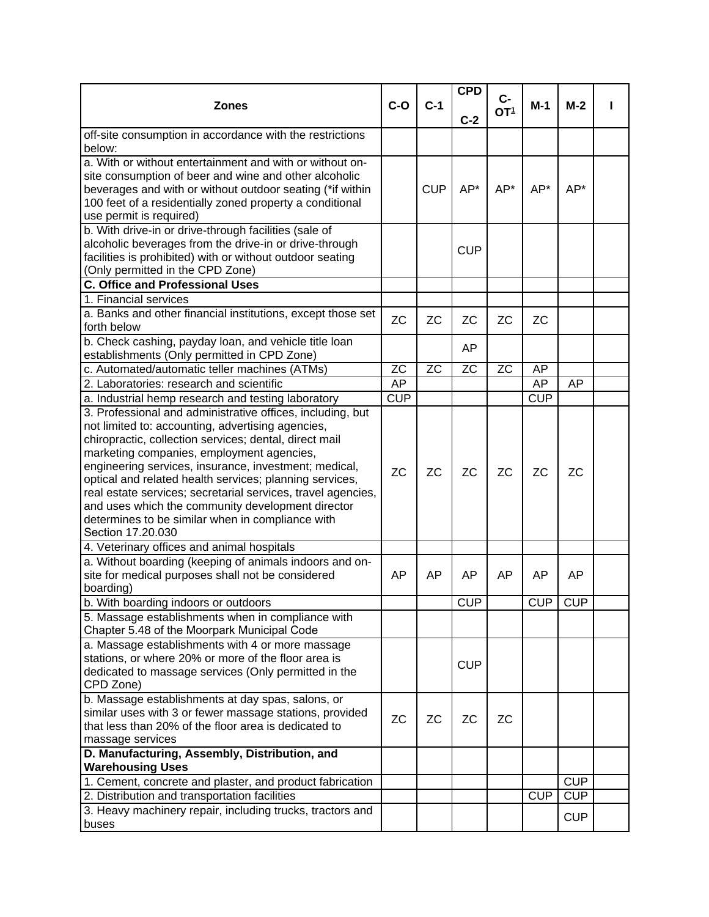|                                                              |            |                  | <b>CPD</b> |                         |            |            |  |
|--------------------------------------------------------------|------------|------------------|------------|-------------------------|------------|------------|--|
| <b>Zones</b>                                                 | $C-O$      | $C-1$            |            | $C-$<br>OT <sup>1</sup> | $M-1$      | $M-2$      |  |
|                                                              |            |                  | $C-2$      |                         |            |            |  |
| off-site consumption in accordance with the restrictions     |            |                  |            |                         |            |            |  |
| below:                                                       |            |                  |            |                         |            |            |  |
| a. With or without entertainment and with or without on-     |            |                  |            |                         |            |            |  |
| site consumption of beer and wine and other alcoholic        |            |                  |            |                         |            |            |  |
| beverages and with or without outdoor seating (*if within    |            | <b>CUP</b>       | AP*        | AP*                     | AP*        | AP*        |  |
| 100 feet of a residentially zoned property a conditional     |            |                  |            |                         |            |            |  |
| use permit is required)                                      |            |                  |            |                         |            |            |  |
| b. With drive-in or drive-through facilities (sale of        |            |                  |            |                         |            |            |  |
| alcoholic beverages from the drive-in or drive-through       |            |                  | <b>CUP</b> |                         |            |            |  |
| facilities is prohibited) with or without outdoor seating    |            |                  |            |                         |            |            |  |
| (Only permitted in the CPD Zone)                             |            |                  |            |                         |            |            |  |
| <b>C. Office and Professional Uses</b>                       |            |                  |            |                         |            |            |  |
| 1. Financial services                                        |            |                  |            |                         |            |            |  |
| a. Banks and other financial institutions, except those set  | <b>ZC</b>  | <b>ZC</b>        | <b>ZC</b>  | <b>ZC</b>               | <b>ZC</b>  |            |  |
| forth below                                                  |            |                  |            |                         |            |            |  |
| b. Check cashing, payday loan, and vehicle title loan        |            |                  | AP         |                         |            |            |  |
| establishments (Only permitted in CPD Zone)                  |            |                  |            |                         |            |            |  |
| c. Automated/automatic teller machines (ATMs)                | <b>ZC</b>  | $\overline{z}$ C | <b>ZC</b>  | <b>ZC</b>               | AP         |            |  |
| 2. Laboratories: research and scientific                     | <b>AP</b>  |                  |            |                         | AP         | AP         |  |
| a. Industrial hemp research and testing laboratory           | <b>CUP</b> |                  |            |                         | <b>CUP</b> |            |  |
| 3. Professional and administrative offices, including, but   |            |                  |            |                         |            |            |  |
| not limited to: accounting, advertising agencies,            |            |                  |            |                         |            |            |  |
| chiropractic, collection services; dental, direct mail       |            |                  |            |                         |            |            |  |
| marketing companies, employment agencies,                    |            |                  |            |                         |            |            |  |
| engineering services, insurance, investment; medical,        | <b>ZC</b>  | <b>ZC</b>        | <b>ZC</b>  | <b>ZC</b>               | <b>ZC</b>  | <b>ZC</b>  |  |
| optical and related health services; planning services,      |            |                  |            |                         |            |            |  |
| real estate services; secretarial services, travel agencies, |            |                  |            |                         |            |            |  |
| and uses which the community development director            |            |                  |            |                         |            |            |  |
| determines to be similar when in compliance with             |            |                  |            |                         |            |            |  |
| Section 17.20.030                                            |            |                  |            |                         |            |            |  |
| 4. Veterinary offices and animal hospitals                   |            |                  |            |                         |            |            |  |
| a. Without boarding (keeping of animals indoors and on-      |            |                  |            |                         |            |            |  |
| site for medical purposes shall not be considered            | AP         | AP               | AP         | AP                      | AP         | AP         |  |
| boarding)                                                    |            |                  |            |                         |            |            |  |
| b. With boarding indoors or outdoors                         |            |                  | CUP        |                         |            | CUP CUP    |  |
| 5. Massage establishments when in compliance with            |            |                  |            |                         |            |            |  |
| Chapter 5.48 of the Moorpark Municipal Code                  |            |                  |            |                         |            |            |  |
| a. Massage establishments with 4 or more massage             |            |                  |            |                         |            |            |  |
| stations, or where 20% or more of the floor area is          |            |                  | <b>CUP</b> |                         |            |            |  |
| dedicated to massage services (Only permitted in the         |            |                  |            |                         |            |            |  |
| CPD Zone)                                                    |            |                  |            |                         |            |            |  |
| b. Massage establishments at day spas, salons, or            |            |                  |            |                         |            |            |  |
| similar uses with 3 or fewer massage stations, provided      | <b>ZC</b>  | <b>ZC</b>        | <b>ZC</b>  | <b>ZC</b>               |            |            |  |
| that less than 20% of the floor area is dedicated to         |            |                  |            |                         |            |            |  |
| massage services                                             |            |                  |            |                         |            |            |  |
| D. Manufacturing, Assembly, Distribution, and                |            |                  |            |                         |            |            |  |
| <b>Warehousing Uses</b>                                      |            |                  |            |                         |            |            |  |
| 1. Cement, concrete and plaster, and product fabrication     |            |                  |            |                         |            | CUP        |  |
| 2. Distribution and transportation facilities                |            |                  |            |                         | <b>CUP</b> | <b>CUP</b> |  |
| 3. Heavy machinery repair, including trucks, tractors and    |            |                  |            |                         |            | <b>CUP</b> |  |
| buses                                                        |            |                  |            |                         |            |            |  |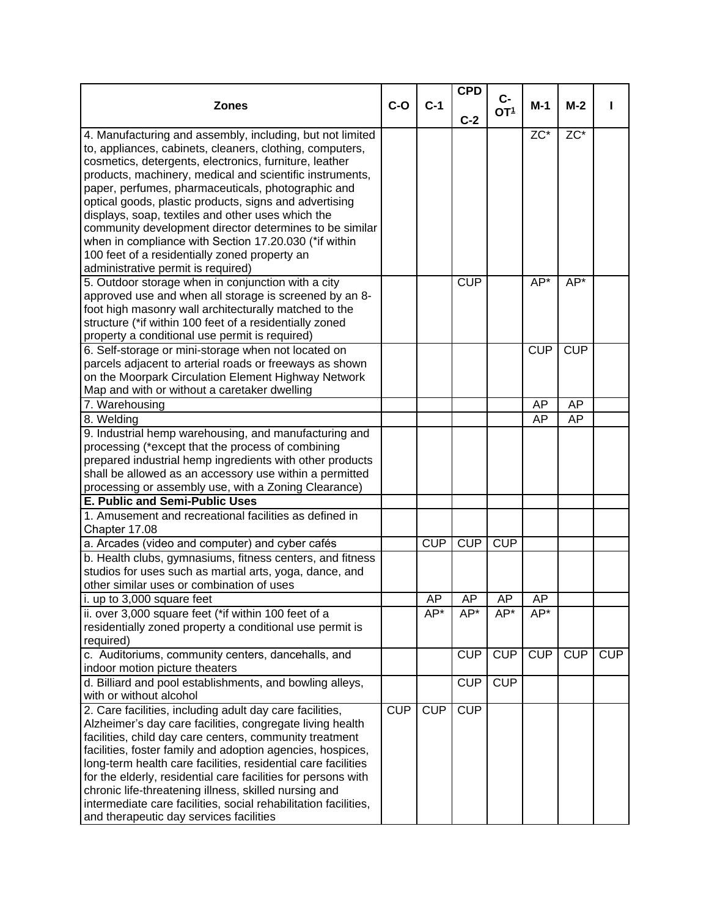| $c-$<br>$C-1$<br>$C-O$<br><b>Zones</b><br>$M-1$<br>$M-2$<br>OT <sup>1</sup><br>$C-2$<br>$\overline{ZC^*}$<br>$\overline{ZC^*}$<br>4. Manufacturing and assembly, including, but not limited<br>to, appliances, cabinets, cleaners, clothing, computers,<br>cosmetics, detergents, electronics, furniture, leather<br>products, machinery, medical and scientific instruments,<br>paper, perfumes, pharmaceuticals, photographic and<br>optical goods, plastic products, signs and advertising<br>displays, soap, textiles and other uses which the<br>community development director determines to be similar<br>when in compliance with Section 17.20.030 (*if within<br>100 feet of a residentially zoned property an<br>administrative permit is required)<br><b>CUP</b><br>$AP*$<br>5. Outdoor storage when in conjunction with a city<br>AP*<br>approved use and when all storage is screened by an 8-<br>foot high masonry wall architecturally matched to the<br>structure (*if within 100 feet of a residentially zoned<br>property a conditional use permit is required)<br><b>CUP</b><br><b>CUP</b><br>6. Self-storage or mini-storage when not located on<br>parcels adjacent to arterial roads or freeways as shown<br>on the Moorpark Circulation Element Highway Network<br>Map and with or without a caretaker dwelling<br>7. Warehousing<br>AP<br>AP<br>8. Welding<br>AP<br><b>AP</b><br>9. Industrial hemp warehousing, and manufacturing and<br>processing (*except that the process of combining<br>prepared industrial hemp ingredients with other products<br>shall be allowed as an accessory use within a permitted<br>processing or assembly use, with a Zoning Clearance)<br>E. Public and Semi-Public Uses<br>1. Amusement and recreational facilities as defined in<br>Chapter 17.08<br>CUP<br>CUP<br>CUP<br>a. Arcades (video and computer) and cyber cafés<br>b. Health clubs, gymnasiums, fitness centers, and fitness<br>studios for uses such as martial arts, yoga, dance, and<br>other similar uses or combination of uses<br>i. up to 3,000 square feet<br><b>AP</b><br>AP<br>AP<br>AP<br>ii. over 3,000 square feet (*if within 100 feet of a<br>$AP^*$<br>AP*<br>AP*<br>AP*<br>residentially zoned property a conditional use permit is<br>required)<br>CUP<br>CUP<br>CUP<br>CUP<br>CUP<br>c. Auditoriums, community centers, dancehalls, and<br>indoor motion picture theaters<br><b>CUP</b><br><b>CUP</b><br>d. Billiard and pool establishments, and bowling alleys,<br>with or without alcohol<br><b>CUP</b><br>CUP<br>CUP<br>2. Care facilities, including adult day care facilities,<br>Alzheimer's day care facilities, congregate living health<br>facilities, child day care centers, community treatment<br>facilities, foster family and adoption agencies, hospices,<br>long-term health care facilities, residential care facilities<br>for the elderly, residential care facilities for persons with<br>chronic life-threatening illness, skilled nursing and<br>intermediate care facilities, social rehabilitation facilities, |                                         |  | <b>CPD</b> |  |  |
|-------------------------------------------------------------------------------------------------------------------------------------------------------------------------------------------------------------------------------------------------------------------------------------------------------------------------------------------------------------------------------------------------------------------------------------------------------------------------------------------------------------------------------------------------------------------------------------------------------------------------------------------------------------------------------------------------------------------------------------------------------------------------------------------------------------------------------------------------------------------------------------------------------------------------------------------------------------------------------------------------------------------------------------------------------------------------------------------------------------------------------------------------------------------------------------------------------------------------------------------------------------------------------------------------------------------------------------------------------------------------------------------------------------------------------------------------------------------------------------------------------------------------------------------------------------------------------------------------------------------------------------------------------------------------------------------------------------------------------------------------------------------------------------------------------------------------------------------------------------------------------------------------------------------------------------------------------------------------------------------------------------------------------------------------------------------------------------------------------------------------------------------------------------------------------------------------------------------------------------------------------------------------------------------------------------------------------------------------------------------------------------------------------------------------------------------------------------------------------------------------------------------------------------------------------------------------------------------------------------------------------------------------------------------------------------------------------------------------------------------------------------------------------------------------------------------------------------------------------------------------------------------------------------------------------------------------------------------------------------------------------------------------------------------------------------------------------------|-----------------------------------------|--|------------|--|--|
|                                                                                                                                                                                                                                                                                                                                                                                                                                                                                                                                                                                                                                                                                                                                                                                                                                                                                                                                                                                                                                                                                                                                                                                                                                                                                                                                                                                                                                                                                                                                                                                                                                                                                                                                                                                                                                                                                                                                                                                                                                                                                                                                                                                                                                                                                                                                                                                                                                                                                                                                                                                                                                                                                                                                                                                                                                                                                                                                                                                                                                                                                     |                                         |  |            |  |  |
|                                                                                                                                                                                                                                                                                                                                                                                                                                                                                                                                                                                                                                                                                                                                                                                                                                                                                                                                                                                                                                                                                                                                                                                                                                                                                                                                                                                                                                                                                                                                                                                                                                                                                                                                                                                                                                                                                                                                                                                                                                                                                                                                                                                                                                                                                                                                                                                                                                                                                                                                                                                                                                                                                                                                                                                                                                                                                                                                                                                                                                                                                     |                                         |  |            |  |  |
|                                                                                                                                                                                                                                                                                                                                                                                                                                                                                                                                                                                                                                                                                                                                                                                                                                                                                                                                                                                                                                                                                                                                                                                                                                                                                                                                                                                                                                                                                                                                                                                                                                                                                                                                                                                                                                                                                                                                                                                                                                                                                                                                                                                                                                                                                                                                                                                                                                                                                                                                                                                                                                                                                                                                                                                                                                                                                                                                                                                                                                                                                     |                                         |  |            |  |  |
|                                                                                                                                                                                                                                                                                                                                                                                                                                                                                                                                                                                                                                                                                                                                                                                                                                                                                                                                                                                                                                                                                                                                                                                                                                                                                                                                                                                                                                                                                                                                                                                                                                                                                                                                                                                                                                                                                                                                                                                                                                                                                                                                                                                                                                                                                                                                                                                                                                                                                                                                                                                                                                                                                                                                                                                                                                                                                                                                                                                                                                                                                     |                                         |  |            |  |  |
|                                                                                                                                                                                                                                                                                                                                                                                                                                                                                                                                                                                                                                                                                                                                                                                                                                                                                                                                                                                                                                                                                                                                                                                                                                                                                                                                                                                                                                                                                                                                                                                                                                                                                                                                                                                                                                                                                                                                                                                                                                                                                                                                                                                                                                                                                                                                                                                                                                                                                                                                                                                                                                                                                                                                                                                                                                                                                                                                                                                                                                                                                     |                                         |  |            |  |  |
|                                                                                                                                                                                                                                                                                                                                                                                                                                                                                                                                                                                                                                                                                                                                                                                                                                                                                                                                                                                                                                                                                                                                                                                                                                                                                                                                                                                                                                                                                                                                                                                                                                                                                                                                                                                                                                                                                                                                                                                                                                                                                                                                                                                                                                                                                                                                                                                                                                                                                                                                                                                                                                                                                                                                                                                                                                                                                                                                                                                                                                                                                     |                                         |  |            |  |  |
|                                                                                                                                                                                                                                                                                                                                                                                                                                                                                                                                                                                                                                                                                                                                                                                                                                                                                                                                                                                                                                                                                                                                                                                                                                                                                                                                                                                                                                                                                                                                                                                                                                                                                                                                                                                                                                                                                                                                                                                                                                                                                                                                                                                                                                                                                                                                                                                                                                                                                                                                                                                                                                                                                                                                                                                                                                                                                                                                                                                                                                                                                     |                                         |  |            |  |  |
|                                                                                                                                                                                                                                                                                                                                                                                                                                                                                                                                                                                                                                                                                                                                                                                                                                                                                                                                                                                                                                                                                                                                                                                                                                                                                                                                                                                                                                                                                                                                                                                                                                                                                                                                                                                                                                                                                                                                                                                                                                                                                                                                                                                                                                                                                                                                                                                                                                                                                                                                                                                                                                                                                                                                                                                                                                                                                                                                                                                                                                                                                     |                                         |  |            |  |  |
|                                                                                                                                                                                                                                                                                                                                                                                                                                                                                                                                                                                                                                                                                                                                                                                                                                                                                                                                                                                                                                                                                                                                                                                                                                                                                                                                                                                                                                                                                                                                                                                                                                                                                                                                                                                                                                                                                                                                                                                                                                                                                                                                                                                                                                                                                                                                                                                                                                                                                                                                                                                                                                                                                                                                                                                                                                                                                                                                                                                                                                                                                     |                                         |  |            |  |  |
|                                                                                                                                                                                                                                                                                                                                                                                                                                                                                                                                                                                                                                                                                                                                                                                                                                                                                                                                                                                                                                                                                                                                                                                                                                                                                                                                                                                                                                                                                                                                                                                                                                                                                                                                                                                                                                                                                                                                                                                                                                                                                                                                                                                                                                                                                                                                                                                                                                                                                                                                                                                                                                                                                                                                                                                                                                                                                                                                                                                                                                                                                     |                                         |  |            |  |  |
|                                                                                                                                                                                                                                                                                                                                                                                                                                                                                                                                                                                                                                                                                                                                                                                                                                                                                                                                                                                                                                                                                                                                                                                                                                                                                                                                                                                                                                                                                                                                                                                                                                                                                                                                                                                                                                                                                                                                                                                                                                                                                                                                                                                                                                                                                                                                                                                                                                                                                                                                                                                                                                                                                                                                                                                                                                                                                                                                                                                                                                                                                     |                                         |  |            |  |  |
|                                                                                                                                                                                                                                                                                                                                                                                                                                                                                                                                                                                                                                                                                                                                                                                                                                                                                                                                                                                                                                                                                                                                                                                                                                                                                                                                                                                                                                                                                                                                                                                                                                                                                                                                                                                                                                                                                                                                                                                                                                                                                                                                                                                                                                                                                                                                                                                                                                                                                                                                                                                                                                                                                                                                                                                                                                                                                                                                                                                                                                                                                     |                                         |  |            |  |  |
|                                                                                                                                                                                                                                                                                                                                                                                                                                                                                                                                                                                                                                                                                                                                                                                                                                                                                                                                                                                                                                                                                                                                                                                                                                                                                                                                                                                                                                                                                                                                                                                                                                                                                                                                                                                                                                                                                                                                                                                                                                                                                                                                                                                                                                                                                                                                                                                                                                                                                                                                                                                                                                                                                                                                                                                                                                                                                                                                                                                                                                                                                     |                                         |  |            |  |  |
|                                                                                                                                                                                                                                                                                                                                                                                                                                                                                                                                                                                                                                                                                                                                                                                                                                                                                                                                                                                                                                                                                                                                                                                                                                                                                                                                                                                                                                                                                                                                                                                                                                                                                                                                                                                                                                                                                                                                                                                                                                                                                                                                                                                                                                                                                                                                                                                                                                                                                                                                                                                                                                                                                                                                                                                                                                                                                                                                                                                                                                                                                     |                                         |  |            |  |  |
|                                                                                                                                                                                                                                                                                                                                                                                                                                                                                                                                                                                                                                                                                                                                                                                                                                                                                                                                                                                                                                                                                                                                                                                                                                                                                                                                                                                                                                                                                                                                                                                                                                                                                                                                                                                                                                                                                                                                                                                                                                                                                                                                                                                                                                                                                                                                                                                                                                                                                                                                                                                                                                                                                                                                                                                                                                                                                                                                                                                                                                                                                     |                                         |  |            |  |  |
|                                                                                                                                                                                                                                                                                                                                                                                                                                                                                                                                                                                                                                                                                                                                                                                                                                                                                                                                                                                                                                                                                                                                                                                                                                                                                                                                                                                                                                                                                                                                                                                                                                                                                                                                                                                                                                                                                                                                                                                                                                                                                                                                                                                                                                                                                                                                                                                                                                                                                                                                                                                                                                                                                                                                                                                                                                                                                                                                                                                                                                                                                     |                                         |  |            |  |  |
|                                                                                                                                                                                                                                                                                                                                                                                                                                                                                                                                                                                                                                                                                                                                                                                                                                                                                                                                                                                                                                                                                                                                                                                                                                                                                                                                                                                                                                                                                                                                                                                                                                                                                                                                                                                                                                                                                                                                                                                                                                                                                                                                                                                                                                                                                                                                                                                                                                                                                                                                                                                                                                                                                                                                                                                                                                                                                                                                                                                                                                                                                     |                                         |  |            |  |  |
|                                                                                                                                                                                                                                                                                                                                                                                                                                                                                                                                                                                                                                                                                                                                                                                                                                                                                                                                                                                                                                                                                                                                                                                                                                                                                                                                                                                                                                                                                                                                                                                                                                                                                                                                                                                                                                                                                                                                                                                                                                                                                                                                                                                                                                                                                                                                                                                                                                                                                                                                                                                                                                                                                                                                                                                                                                                                                                                                                                                                                                                                                     |                                         |  |            |  |  |
|                                                                                                                                                                                                                                                                                                                                                                                                                                                                                                                                                                                                                                                                                                                                                                                                                                                                                                                                                                                                                                                                                                                                                                                                                                                                                                                                                                                                                                                                                                                                                                                                                                                                                                                                                                                                                                                                                                                                                                                                                                                                                                                                                                                                                                                                                                                                                                                                                                                                                                                                                                                                                                                                                                                                                                                                                                                                                                                                                                                                                                                                                     |                                         |  |            |  |  |
|                                                                                                                                                                                                                                                                                                                                                                                                                                                                                                                                                                                                                                                                                                                                                                                                                                                                                                                                                                                                                                                                                                                                                                                                                                                                                                                                                                                                                                                                                                                                                                                                                                                                                                                                                                                                                                                                                                                                                                                                                                                                                                                                                                                                                                                                                                                                                                                                                                                                                                                                                                                                                                                                                                                                                                                                                                                                                                                                                                                                                                                                                     |                                         |  |            |  |  |
|                                                                                                                                                                                                                                                                                                                                                                                                                                                                                                                                                                                                                                                                                                                                                                                                                                                                                                                                                                                                                                                                                                                                                                                                                                                                                                                                                                                                                                                                                                                                                                                                                                                                                                                                                                                                                                                                                                                                                                                                                                                                                                                                                                                                                                                                                                                                                                                                                                                                                                                                                                                                                                                                                                                                                                                                                                                                                                                                                                                                                                                                                     |                                         |  |            |  |  |
|                                                                                                                                                                                                                                                                                                                                                                                                                                                                                                                                                                                                                                                                                                                                                                                                                                                                                                                                                                                                                                                                                                                                                                                                                                                                                                                                                                                                                                                                                                                                                                                                                                                                                                                                                                                                                                                                                                                                                                                                                                                                                                                                                                                                                                                                                                                                                                                                                                                                                                                                                                                                                                                                                                                                                                                                                                                                                                                                                                                                                                                                                     |                                         |  |            |  |  |
|                                                                                                                                                                                                                                                                                                                                                                                                                                                                                                                                                                                                                                                                                                                                                                                                                                                                                                                                                                                                                                                                                                                                                                                                                                                                                                                                                                                                                                                                                                                                                                                                                                                                                                                                                                                                                                                                                                                                                                                                                                                                                                                                                                                                                                                                                                                                                                                                                                                                                                                                                                                                                                                                                                                                                                                                                                                                                                                                                                                                                                                                                     |                                         |  |            |  |  |
|                                                                                                                                                                                                                                                                                                                                                                                                                                                                                                                                                                                                                                                                                                                                                                                                                                                                                                                                                                                                                                                                                                                                                                                                                                                                                                                                                                                                                                                                                                                                                                                                                                                                                                                                                                                                                                                                                                                                                                                                                                                                                                                                                                                                                                                                                                                                                                                                                                                                                                                                                                                                                                                                                                                                                                                                                                                                                                                                                                                                                                                                                     |                                         |  |            |  |  |
|                                                                                                                                                                                                                                                                                                                                                                                                                                                                                                                                                                                                                                                                                                                                                                                                                                                                                                                                                                                                                                                                                                                                                                                                                                                                                                                                                                                                                                                                                                                                                                                                                                                                                                                                                                                                                                                                                                                                                                                                                                                                                                                                                                                                                                                                                                                                                                                                                                                                                                                                                                                                                                                                                                                                                                                                                                                                                                                                                                                                                                                                                     |                                         |  |            |  |  |
|                                                                                                                                                                                                                                                                                                                                                                                                                                                                                                                                                                                                                                                                                                                                                                                                                                                                                                                                                                                                                                                                                                                                                                                                                                                                                                                                                                                                                                                                                                                                                                                                                                                                                                                                                                                                                                                                                                                                                                                                                                                                                                                                                                                                                                                                                                                                                                                                                                                                                                                                                                                                                                                                                                                                                                                                                                                                                                                                                                                                                                                                                     |                                         |  |            |  |  |
|                                                                                                                                                                                                                                                                                                                                                                                                                                                                                                                                                                                                                                                                                                                                                                                                                                                                                                                                                                                                                                                                                                                                                                                                                                                                                                                                                                                                                                                                                                                                                                                                                                                                                                                                                                                                                                                                                                                                                                                                                                                                                                                                                                                                                                                                                                                                                                                                                                                                                                                                                                                                                                                                                                                                                                                                                                                                                                                                                                                                                                                                                     |                                         |  |            |  |  |
|                                                                                                                                                                                                                                                                                                                                                                                                                                                                                                                                                                                                                                                                                                                                                                                                                                                                                                                                                                                                                                                                                                                                                                                                                                                                                                                                                                                                                                                                                                                                                                                                                                                                                                                                                                                                                                                                                                                                                                                                                                                                                                                                                                                                                                                                                                                                                                                                                                                                                                                                                                                                                                                                                                                                                                                                                                                                                                                                                                                                                                                                                     |                                         |  |            |  |  |
|                                                                                                                                                                                                                                                                                                                                                                                                                                                                                                                                                                                                                                                                                                                                                                                                                                                                                                                                                                                                                                                                                                                                                                                                                                                                                                                                                                                                                                                                                                                                                                                                                                                                                                                                                                                                                                                                                                                                                                                                                                                                                                                                                                                                                                                                                                                                                                                                                                                                                                                                                                                                                                                                                                                                                                                                                                                                                                                                                                                                                                                                                     |                                         |  |            |  |  |
|                                                                                                                                                                                                                                                                                                                                                                                                                                                                                                                                                                                                                                                                                                                                                                                                                                                                                                                                                                                                                                                                                                                                                                                                                                                                                                                                                                                                                                                                                                                                                                                                                                                                                                                                                                                                                                                                                                                                                                                                                                                                                                                                                                                                                                                                                                                                                                                                                                                                                                                                                                                                                                                                                                                                                                                                                                                                                                                                                                                                                                                                                     |                                         |  |            |  |  |
|                                                                                                                                                                                                                                                                                                                                                                                                                                                                                                                                                                                                                                                                                                                                                                                                                                                                                                                                                                                                                                                                                                                                                                                                                                                                                                                                                                                                                                                                                                                                                                                                                                                                                                                                                                                                                                                                                                                                                                                                                                                                                                                                                                                                                                                                                                                                                                                                                                                                                                                                                                                                                                                                                                                                                                                                                                                                                                                                                                                                                                                                                     |                                         |  |            |  |  |
|                                                                                                                                                                                                                                                                                                                                                                                                                                                                                                                                                                                                                                                                                                                                                                                                                                                                                                                                                                                                                                                                                                                                                                                                                                                                                                                                                                                                                                                                                                                                                                                                                                                                                                                                                                                                                                                                                                                                                                                                                                                                                                                                                                                                                                                                                                                                                                                                                                                                                                                                                                                                                                                                                                                                                                                                                                                                                                                                                                                                                                                                                     |                                         |  |            |  |  |
|                                                                                                                                                                                                                                                                                                                                                                                                                                                                                                                                                                                                                                                                                                                                                                                                                                                                                                                                                                                                                                                                                                                                                                                                                                                                                                                                                                                                                                                                                                                                                                                                                                                                                                                                                                                                                                                                                                                                                                                                                                                                                                                                                                                                                                                                                                                                                                                                                                                                                                                                                                                                                                                                                                                                                                                                                                                                                                                                                                                                                                                                                     |                                         |  |            |  |  |
|                                                                                                                                                                                                                                                                                                                                                                                                                                                                                                                                                                                                                                                                                                                                                                                                                                                                                                                                                                                                                                                                                                                                                                                                                                                                                                                                                                                                                                                                                                                                                                                                                                                                                                                                                                                                                                                                                                                                                                                                                                                                                                                                                                                                                                                                                                                                                                                                                                                                                                                                                                                                                                                                                                                                                                                                                                                                                                                                                                                                                                                                                     |                                         |  |            |  |  |
|                                                                                                                                                                                                                                                                                                                                                                                                                                                                                                                                                                                                                                                                                                                                                                                                                                                                                                                                                                                                                                                                                                                                                                                                                                                                                                                                                                                                                                                                                                                                                                                                                                                                                                                                                                                                                                                                                                                                                                                                                                                                                                                                                                                                                                                                                                                                                                                                                                                                                                                                                                                                                                                                                                                                                                                                                                                                                                                                                                                                                                                                                     |                                         |  |            |  |  |
|                                                                                                                                                                                                                                                                                                                                                                                                                                                                                                                                                                                                                                                                                                                                                                                                                                                                                                                                                                                                                                                                                                                                                                                                                                                                                                                                                                                                                                                                                                                                                                                                                                                                                                                                                                                                                                                                                                                                                                                                                                                                                                                                                                                                                                                                                                                                                                                                                                                                                                                                                                                                                                                                                                                                                                                                                                                                                                                                                                                                                                                                                     |                                         |  |            |  |  |
|                                                                                                                                                                                                                                                                                                                                                                                                                                                                                                                                                                                                                                                                                                                                                                                                                                                                                                                                                                                                                                                                                                                                                                                                                                                                                                                                                                                                                                                                                                                                                                                                                                                                                                                                                                                                                                                                                                                                                                                                                                                                                                                                                                                                                                                                                                                                                                                                                                                                                                                                                                                                                                                                                                                                                                                                                                                                                                                                                                                                                                                                                     |                                         |  |            |  |  |
|                                                                                                                                                                                                                                                                                                                                                                                                                                                                                                                                                                                                                                                                                                                                                                                                                                                                                                                                                                                                                                                                                                                                                                                                                                                                                                                                                                                                                                                                                                                                                                                                                                                                                                                                                                                                                                                                                                                                                                                                                                                                                                                                                                                                                                                                                                                                                                                                                                                                                                                                                                                                                                                                                                                                                                                                                                                                                                                                                                                                                                                                                     |                                         |  |            |  |  |
|                                                                                                                                                                                                                                                                                                                                                                                                                                                                                                                                                                                                                                                                                                                                                                                                                                                                                                                                                                                                                                                                                                                                                                                                                                                                                                                                                                                                                                                                                                                                                                                                                                                                                                                                                                                                                                                                                                                                                                                                                                                                                                                                                                                                                                                                                                                                                                                                                                                                                                                                                                                                                                                                                                                                                                                                                                                                                                                                                                                                                                                                                     |                                         |  |            |  |  |
|                                                                                                                                                                                                                                                                                                                                                                                                                                                                                                                                                                                                                                                                                                                                                                                                                                                                                                                                                                                                                                                                                                                                                                                                                                                                                                                                                                                                                                                                                                                                                                                                                                                                                                                                                                                                                                                                                                                                                                                                                                                                                                                                                                                                                                                                                                                                                                                                                                                                                                                                                                                                                                                                                                                                                                                                                                                                                                                                                                                                                                                                                     |                                         |  |            |  |  |
|                                                                                                                                                                                                                                                                                                                                                                                                                                                                                                                                                                                                                                                                                                                                                                                                                                                                                                                                                                                                                                                                                                                                                                                                                                                                                                                                                                                                                                                                                                                                                                                                                                                                                                                                                                                                                                                                                                                                                                                                                                                                                                                                                                                                                                                                                                                                                                                                                                                                                                                                                                                                                                                                                                                                                                                                                                                                                                                                                                                                                                                                                     |                                         |  |            |  |  |
|                                                                                                                                                                                                                                                                                                                                                                                                                                                                                                                                                                                                                                                                                                                                                                                                                                                                                                                                                                                                                                                                                                                                                                                                                                                                                                                                                                                                                                                                                                                                                                                                                                                                                                                                                                                                                                                                                                                                                                                                                                                                                                                                                                                                                                                                                                                                                                                                                                                                                                                                                                                                                                                                                                                                                                                                                                                                                                                                                                                                                                                                                     |                                         |  |            |  |  |
|                                                                                                                                                                                                                                                                                                                                                                                                                                                                                                                                                                                                                                                                                                                                                                                                                                                                                                                                                                                                                                                                                                                                                                                                                                                                                                                                                                                                                                                                                                                                                                                                                                                                                                                                                                                                                                                                                                                                                                                                                                                                                                                                                                                                                                                                                                                                                                                                                                                                                                                                                                                                                                                                                                                                                                                                                                                                                                                                                                                                                                                                                     |                                         |  |            |  |  |
|                                                                                                                                                                                                                                                                                                                                                                                                                                                                                                                                                                                                                                                                                                                                                                                                                                                                                                                                                                                                                                                                                                                                                                                                                                                                                                                                                                                                                                                                                                                                                                                                                                                                                                                                                                                                                                                                                                                                                                                                                                                                                                                                                                                                                                                                                                                                                                                                                                                                                                                                                                                                                                                                                                                                                                                                                                                                                                                                                                                                                                                                                     |                                         |  |            |  |  |
|                                                                                                                                                                                                                                                                                                                                                                                                                                                                                                                                                                                                                                                                                                                                                                                                                                                                                                                                                                                                                                                                                                                                                                                                                                                                                                                                                                                                                                                                                                                                                                                                                                                                                                                                                                                                                                                                                                                                                                                                                                                                                                                                                                                                                                                                                                                                                                                                                                                                                                                                                                                                                                                                                                                                                                                                                                                                                                                                                                                                                                                                                     |                                         |  |            |  |  |
|                                                                                                                                                                                                                                                                                                                                                                                                                                                                                                                                                                                                                                                                                                                                                                                                                                                                                                                                                                                                                                                                                                                                                                                                                                                                                                                                                                                                                                                                                                                                                                                                                                                                                                                                                                                                                                                                                                                                                                                                                                                                                                                                                                                                                                                                                                                                                                                                                                                                                                                                                                                                                                                                                                                                                                                                                                                                                                                                                                                                                                                                                     |                                         |  |            |  |  |
|                                                                                                                                                                                                                                                                                                                                                                                                                                                                                                                                                                                                                                                                                                                                                                                                                                                                                                                                                                                                                                                                                                                                                                                                                                                                                                                                                                                                                                                                                                                                                                                                                                                                                                                                                                                                                                                                                                                                                                                                                                                                                                                                                                                                                                                                                                                                                                                                                                                                                                                                                                                                                                                                                                                                                                                                                                                                                                                                                                                                                                                                                     |                                         |  |            |  |  |
|                                                                                                                                                                                                                                                                                                                                                                                                                                                                                                                                                                                                                                                                                                                                                                                                                                                                                                                                                                                                                                                                                                                                                                                                                                                                                                                                                                                                                                                                                                                                                                                                                                                                                                                                                                                                                                                                                                                                                                                                                                                                                                                                                                                                                                                                                                                                                                                                                                                                                                                                                                                                                                                                                                                                                                                                                                                                                                                                                                                                                                                                                     |                                         |  |            |  |  |
|                                                                                                                                                                                                                                                                                                                                                                                                                                                                                                                                                                                                                                                                                                                                                                                                                                                                                                                                                                                                                                                                                                                                                                                                                                                                                                                                                                                                                                                                                                                                                                                                                                                                                                                                                                                                                                                                                                                                                                                                                                                                                                                                                                                                                                                                                                                                                                                                                                                                                                                                                                                                                                                                                                                                                                                                                                                                                                                                                                                                                                                                                     |                                         |  |            |  |  |
|                                                                                                                                                                                                                                                                                                                                                                                                                                                                                                                                                                                                                                                                                                                                                                                                                                                                                                                                                                                                                                                                                                                                                                                                                                                                                                                                                                                                                                                                                                                                                                                                                                                                                                                                                                                                                                                                                                                                                                                                                                                                                                                                                                                                                                                                                                                                                                                                                                                                                                                                                                                                                                                                                                                                                                                                                                                                                                                                                                                                                                                                                     |                                         |  |            |  |  |
|                                                                                                                                                                                                                                                                                                                                                                                                                                                                                                                                                                                                                                                                                                                                                                                                                                                                                                                                                                                                                                                                                                                                                                                                                                                                                                                                                                                                                                                                                                                                                                                                                                                                                                                                                                                                                                                                                                                                                                                                                                                                                                                                                                                                                                                                                                                                                                                                                                                                                                                                                                                                                                                                                                                                                                                                                                                                                                                                                                                                                                                                                     |                                         |  |            |  |  |
|                                                                                                                                                                                                                                                                                                                                                                                                                                                                                                                                                                                                                                                                                                                                                                                                                                                                                                                                                                                                                                                                                                                                                                                                                                                                                                                                                                                                                                                                                                                                                                                                                                                                                                                                                                                                                                                                                                                                                                                                                                                                                                                                                                                                                                                                                                                                                                                                                                                                                                                                                                                                                                                                                                                                                                                                                                                                                                                                                                                                                                                                                     |                                         |  |            |  |  |
|                                                                                                                                                                                                                                                                                                                                                                                                                                                                                                                                                                                                                                                                                                                                                                                                                                                                                                                                                                                                                                                                                                                                                                                                                                                                                                                                                                                                                                                                                                                                                                                                                                                                                                                                                                                                                                                                                                                                                                                                                                                                                                                                                                                                                                                                                                                                                                                                                                                                                                                                                                                                                                                                                                                                                                                                                                                                                                                                                                                                                                                                                     |                                         |  |            |  |  |
|                                                                                                                                                                                                                                                                                                                                                                                                                                                                                                                                                                                                                                                                                                                                                                                                                                                                                                                                                                                                                                                                                                                                                                                                                                                                                                                                                                                                                                                                                                                                                                                                                                                                                                                                                                                                                                                                                                                                                                                                                                                                                                                                                                                                                                                                                                                                                                                                                                                                                                                                                                                                                                                                                                                                                                                                                                                                                                                                                                                                                                                                                     |                                         |  |            |  |  |
|                                                                                                                                                                                                                                                                                                                                                                                                                                                                                                                                                                                                                                                                                                                                                                                                                                                                                                                                                                                                                                                                                                                                                                                                                                                                                                                                                                                                                                                                                                                                                                                                                                                                                                                                                                                                                                                                                                                                                                                                                                                                                                                                                                                                                                                                                                                                                                                                                                                                                                                                                                                                                                                                                                                                                                                                                                                                                                                                                                                                                                                                                     | and therapeutic day services facilities |  |            |  |  |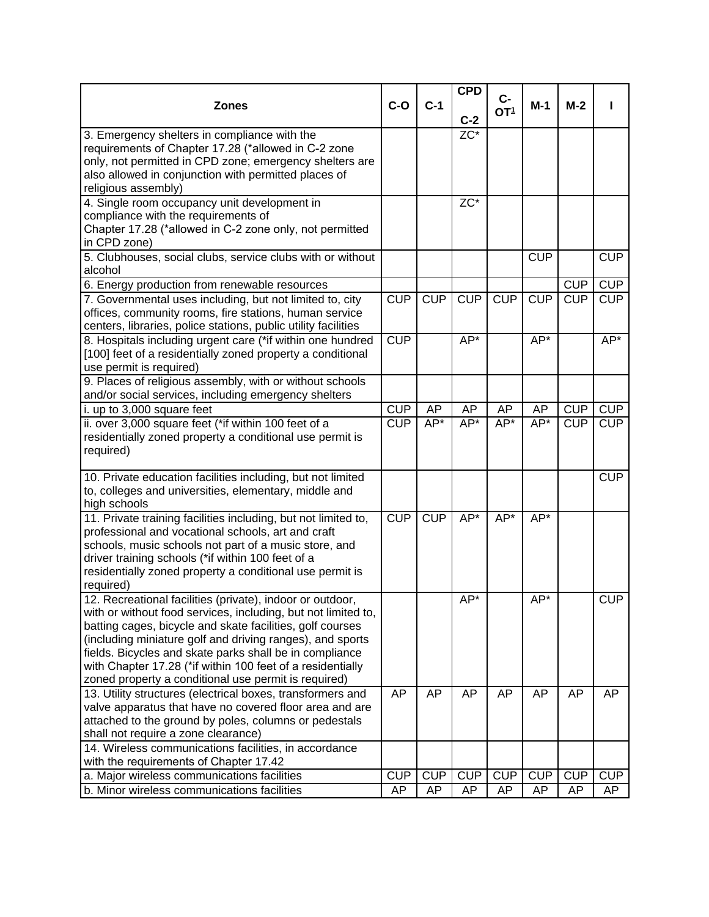|                                                                       |            |            | <b>CPD</b>        |                 |            |            |            |
|-----------------------------------------------------------------------|------------|------------|-------------------|-----------------|------------|------------|------------|
| <b>Zones</b>                                                          | $C-O$      | $C-1$      |                   | $C -$           | $M-1$      | $M-2$      |            |
|                                                                       |            |            | $C-2$             | OT <sup>1</sup> |            |            |            |
| 3. Emergency shelters in compliance with the                          |            |            | $\overline{ZC^*}$ |                 |            |            |            |
| requirements of Chapter 17.28 (*allowed in C-2 zone                   |            |            |                   |                 |            |            |            |
| only, not permitted in CPD zone; emergency shelters are               |            |            |                   |                 |            |            |            |
| also allowed in conjunction with permitted places of                  |            |            |                   |                 |            |            |            |
| religious assembly)                                                   |            |            |                   |                 |            |            |            |
| 4. Single room occupancy unit development in                          |            |            | ZC*               |                 |            |            |            |
| compliance with the requirements of                                   |            |            |                   |                 |            |            |            |
| Chapter 17.28 (*allowed in C-2 zone only, not permitted               |            |            |                   |                 |            |            |            |
| in CPD zone)                                                          |            |            |                   |                 |            |            |            |
| 5. Clubhouses, social clubs, service clubs with or without            |            |            |                   |                 | <b>CUP</b> |            | <b>CUP</b> |
| alcohol                                                               |            |            |                   |                 |            |            |            |
|                                                                       |            |            |                   |                 |            | <b>CUP</b> | <b>CUP</b> |
| 6. Energy production from renewable resources                         |            |            |                   |                 |            |            |            |
| 7. Governmental uses including, but not limited to, city              | <b>CUP</b> | CUP        | CUP               | <b>CUP</b>      | <b>CUP</b> | <b>CUP</b> | <b>CUP</b> |
| offices, community rooms, fire stations, human service                |            |            |                   |                 |            |            |            |
| centers, libraries, police stations, public utility facilities        |            |            |                   |                 |            |            |            |
| 8. Hospitals including urgent care (*if within one hundred            | CUP        |            | $AP*$             |                 | $AP*$      |            | $AP*$      |
| [100] feet of a residentially zoned property a conditional            |            |            |                   |                 |            |            |            |
| use permit is required)                                               |            |            |                   |                 |            |            |            |
| 9. Places of religious assembly, with or without schools              |            |            |                   |                 |            |            |            |
| and/or social services, including emergency shelters                  |            |            |                   |                 |            |            |            |
| i. up to 3,000 square feet                                            | <b>CUP</b> | <b>AP</b>  | AP                | AP              | AP         | <b>CUP</b> | <b>CUP</b> |
| ii. over 3,000 square feet (*if within 100 feet of a                  | CUP        | $AP*$      | $AP*$             | $AP*$           | $AP*$      | <b>CUP</b> | <b>CUP</b> |
| residentially zoned property a conditional use permit is              |            |            |                   |                 |            |            |            |
| required)                                                             |            |            |                   |                 |            |            |            |
|                                                                       |            |            |                   |                 |            |            |            |
| 10. Private education facilities including, but not limited           |            |            |                   |                 |            |            | <b>CUP</b> |
| to, colleges and universities, elementary, middle and                 |            |            |                   |                 |            |            |            |
| high schools                                                          |            |            | $AP*$             | $AP*$           |            |            |            |
| 11. Private training facilities including, but not limited to,        | CUP        | CUP        |                   |                 | $AP*$      |            |            |
| professional and vocational schools, art and craft                    |            |            |                   |                 |            |            |            |
| schools, music schools not part of a music store, and                 |            |            |                   |                 |            |            |            |
| driver training schools (*if within 100 feet of a                     |            |            |                   |                 |            |            |            |
| residentially zoned property a conditional use permit is<br>required) |            |            |                   |                 |            |            |            |
| 12. Recreational facilities (private), indoor or outdoor,             |            |            | $AP^*$            |                 | AP*        |            | <b>CUP</b> |
| with or without food services, including, but not limited to,         |            |            |                   |                 |            |            |            |
| batting cages, bicycle and skate facilities, golf courses             |            |            |                   |                 |            |            |            |
| (including miniature golf and driving ranges), and sports             |            |            |                   |                 |            |            |            |
| fields. Bicycles and skate parks shall be in compliance               |            |            |                   |                 |            |            |            |
| with Chapter 17.28 (*if within 100 feet of a residentially            |            |            |                   |                 |            |            |            |
| zoned property a conditional use permit is required)                  |            |            |                   |                 |            |            |            |
| 13. Utility structures (electrical boxes, transformers and            | AP         | AP         | AP                | AP              | AP         | AP         | AP         |
| valve apparatus that have no covered floor area and are               |            |            |                   |                 |            |            |            |
| attached to the ground by poles, columns or pedestals                 |            |            |                   |                 |            |            |            |
| shall not require a zone clearance)                                   |            |            |                   |                 |            |            |            |
| 14. Wireless communications facilities, in accordance                 |            |            |                   |                 |            |            |            |
| with the requirements of Chapter 17.42                                |            |            |                   |                 |            |            |            |
| a. Major wireless communications facilities                           | <b>CUP</b> | <b>CUP</b> | <b>CUP</b>        | <b>CUP</b>      | <b>CUP</b> | <b>CUP</b> | <b>CUP</b> |
| b. Minor wireless communications facilities                           | AP         | AP         | <b>AP</b>         | AP              | AP         | AP         | AP         |
|                                                                       |            |            |                   |                 |            |            |            |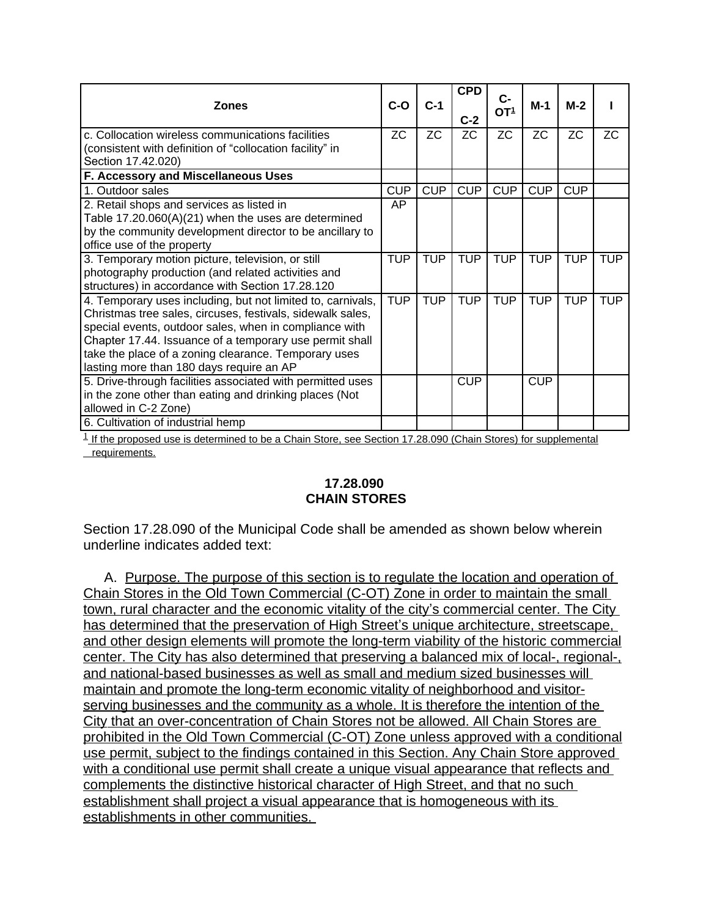| <b>Zones</b>                                                                                                                                                                                                                                                                                                                                       | $C-O$      | $C-1$      | <b>CPD</b><br>$C-2$ | C-<br>OT <sub>1</sub> | $M-1$      | $M-2$      |            |
|----------------------------------------------------------------------------------------------------------------------------------------------------------------------------------------------------------------------------------------------------------------------------------------------------------------------------------------------------|------------|------------|---------------------|-----------------------|------------|------------|------------|
| c. Collocation wireless communications facilities<br>(consistent with definition of "collocation facility" in<br>Section 17.42.020)                                                                                                                                                                                                                | ZC.        | <b>ZC</b>  | ZC.                 | <b>ZC</b>             | <b>ZC</b>  | <b>ZC</b>  | <b>ZC</b>  |
| F. Accessory and Miscellaneous Uses                                                                                                                                                                                                                                                                                                                |            |            |                     |                       |            |            |            |
| 1. Outdoor sales                                                                                                                                                                                                                                                                                                                                   | <b>CUP</b> | <b>CUP</b> | <b>CUP</b>          | <b>CUP</b>            | <b>CUP</b> | <b>CUP</b> |            |
| 2. Retail shops and services as listed in<br>Table 17.20.060(A)(21) when the uses are determined<br>by the community development director to be ancillary to<br>office use of the property                                                                                                                                                         | AP         |            |                     |                       |            |            |            |
| 3. Temporary motion picture, television, or still<br>photography production (and related activities and<br>structures) in accordance with Section 17.28.120                                                                                                                                                                                        | <b>TUP</b> | <b>TUP</b> | <b>TUP</b>          | <b>TUP</b>            | <b>TUP</b> | <b>TUP</b> | <b>TUP</b> |
| 4. Temporary uses including, but not limited to, carnivals,<br>Christmas tree sales, circuses, festivals, sidewalk sales,<br>special events, outdoor sales, when in compliance with<br>Chapter 17.44. Issuance of a temporary use permit shall<br>take the place of a zoning clearance. Temporary uses<br>lasting more than 180 days require an AP | <b>TUP</b> | <b>TUP</b> | <b>TUP</b>          | <b>TUP</b>            | <b>TUP</b> | <b>TUP</b> | <b>TUP</b> |
| 5. Drive-through facilities associated with permitted uses<br>in the zone other than eating and drinking places (Not<br>allowed in C-2 Zone)                                                                                                                                                                                                       |            |            | <b>CUP</b>          |                       | <b>CUP</b> |            |            |
| 6. Cultivation of industrial hemp                                                                                                                                                                                                                                                                                                                  |            |            |                     |                       |            |            |            |

 $1$ <sub>-</sub>If the proposed use is determined to be a Chain Store, see Section 17.28.090 (Chain Stores) for supplemental requirements.

#### **17.28.090 CHAIN STORES**

Section 17.28.090 of the Municipal Code shall be amended as shown below wherein underline indicates added text:

A. Purpose. The purpose of this section is to regulate the location and operation of Chain Stores in the Old Town Commercial (C-OT) Zone in order to maintain the small town, rural character and the economic vitality of the city's commercial center. The City has determined that the preservation of High Street's unique architecture, streetscape, and other design elements will promote the long-term viability of the historic commercial center. The City has also determined that preserving a balanced mix of local-, regional-, and national-based businesses as well as small and medium sized businesses will maintain and promote the long-term economic vitality of neighborhood and visitorserving businesses and the community as a whole. It is therefore the intention of the City that an over-concentration of Chain Stores not be allowed. All Chain Stores are prohibited in the Old Town Commercial (C-OT) Zone unless approved with a conditional use permit, subject to the findings contained in this Section. Any Chain Store approved with a conditional use permit shall create a unique visual appearance that reflects and complements the distinctive historical character of High Street, and that no such establishment shall project a visual appearance that is homogeneous with its establishments in other communities.